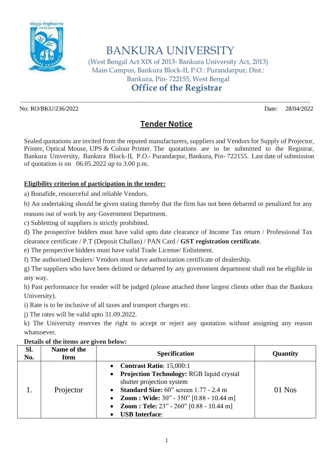

## BANKURA UNIVERSITY

(West Bengal Act XIX of 2013- Bankura University Act, 2013) Main Campus, Bankura Block-II, P.O.: Purandarpur, Dist.: Bankura, Pin- 722155, West Bengal **Office of the Registrar**

No: RO/BKU/236/2022 Date: 28/04/2022

## **Tender Notice**

.............................................................................................................................................................................................

Sealed quotations are invited from the reputed manufacturers, suppliers and Vendors for Supply of Projector, Printer, Optical Mouse, UPS & Colour Printer. The quotations are to be submitted to the Registrar, Bankura University, Bankura Block-II, P.O.- Purandarpur, Bankura, Pin- 722155. Last date of submission of quotation is on 06.05.2022 up to 3.00 p.m.

## **Eligibility criterion of participation in the tender:**

a) Bonafide, resourceful and reliable Vendors.

b) An undertaking should be given stating thereby that the firm has not been debarred or penalized for any

reasons out of work by any Government Department.

c) Subletting of suppliers is strictly prohibited.

d) The prospective bidders must have valid upto date clearance of Income Tax return / Professional Tax clearance certificate / P.T (Deposit Challan) / PAN Card / **GST registration certificate**.

e) The prospective bidders must have valid Trade License/ Enlistment.

f) The authorised Dealers/ Vendors must have authorization certificate of dealership.

g) The suppliers who have been delisted or debarred by any government department shall not be eligible in any way.

h) Past performance for vender will be judged (please attached three largest clients other than the Bankura University).

i) Rate is to be inclusive of all taxes and transport charges etc.

j) The rates will be valid upto 31.09.2022.

k) The University reserves the right to accept or reject any quotation without assigning any reason whatsoever.

**Details of the items are given below:**

| Sl.<br>No. | Name of the<br>Item | <b>Specification</b>                                                                                                                                                                                                                                                                                                                                  | Quantity |
|------------|---------------------|-------------------------------------------------------------------------------------------------------------------------------------------------------------------------------------------------------------------------------------------------------------------------------------------------------------------------------------------------------|----------|
|            | Projector           | <b>Contrast Ratio: 15,000:1</b><br>$\bullet$<br>Projection Technology: RGB liquid crystal<br>$\bullet$<br>shutter projection system<br><b>Standard Size:</b> $60^{\circ}$ screen 1.77 - 2.4 m<br>$\bullet$<br>• Zoom : Wide: $30" - 350"$ [0.88 - 10.44 m]<br><b>Zoom : Tele:</b> $23" - 260"$ [0.88 - 10.44 m]<br>$\bullet$<br><b>USB</b> Interface: | $01$ Nos |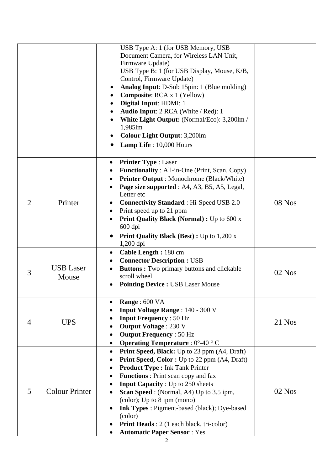|                |                           | USB Type A: 1 (for USB Memory, USB<br>Document Camera, for Wireless LAN Unit,<br>Firmware Update)<br>USB Type B: 1 (for USB Display, Mouse, K/B,<br>Control, Firmware Update)<br><b>Analog Input:</b> D-Sub 15pin: 1 (Blue molding)<br><b>Composite:</b> RCA x 1 (Yellow)<br>Digital Input: HDMI: 1<br>Audio Input: 2 RCA (White / Red): 1<br>White Light Output: (Normal/Eco): 3,200lm /<br>1,985lm<br><b>Colour Light Output: 3,200lm</b><br>Lamp Life: 10,000 Hours                           |          |
|----------------|---------------------------|--------------------------------------------------------------------------------------------------------------------------------------------------------------------------------------------------------------------------------------------------------------------------------------------------------------------------------------------------------------------------------------------------------------------------------------------------------------------------------------------------|----------|
| $\overline{2}$ | Printer                   | <b>Printer Type: Laser</b><br>$\bullet$<br><b>Functionality</b> : All-in-One (Print, Scan, Copy)<br><b>Printer Output:</b> Monochrome (Black/White)<br>Page size supported : A4, A3, B5, A5, Legal,<br>Letter etc<br><b>Connectivity Standard: Hi-Speed USB 2.0</b><br>Print speed up to 21 ppm<br><b>Print Quality Black (Normal) : Up to 600 x</b><br>600 dpi<br><b>Print Quality Black (Best) : Up to 1,200 x</b><br>$1,200$ dpi                                                              | $08$ Nos |
| 3              | <b>USB</b> Laser<br>Mouse | Cable Length: 180 cm<br>$\bullet$<br><b>Connector Description : USB</b><br><b>Buttons:</b> Two primary buttons and clickable<br>scroll wheel<br><b>Pointing Device : USB Laser Mouse</b>                                                                                                                                                                                                                                                                                                         | $02$ Nos |
| $\overline{4}$ | <b>UPS</b>                | Range: 600 VA<br><b>Input Voltage Range: 140 - 300 V</b><br><b>Input Frequency: 50 Hz</b><br><b>Output Voltage: 230 V</b><br><b>Output Frequency: 50 Hz</b><br><b>Operating Temperature</b> : 0°-40 °C                                                                                                                                                                                                                                                                                           | 21 Nos   |
| 5              | <b>Colour Printer</b>     | <b>Print Speed, Black:</b> Up to 23 ppm (A4, Draft)<br>$\bullet$<br><b>Print Speed, Color:</b> Up to 22 ppm (A4, Draft)<br><b>Product Type: Ink Tank Printer</b><br><b>Functions</b> : Print scan copy and fax<br><b>Input Capacity</b> : Up to 250 sheets<br>Scan Speed : (Normal, A4) Up to 3.5 ipm,<br>(color); Up to 8 ipm (mono)<br><b>Ink Types:</b> Pigment-based (black); Dye-based<br>(color)<br><b>Print Heads</b> : 2 (1 each black, tri-color)<br><b>Automatic Paper Sensor: Yes</b> | $02$ Nos |